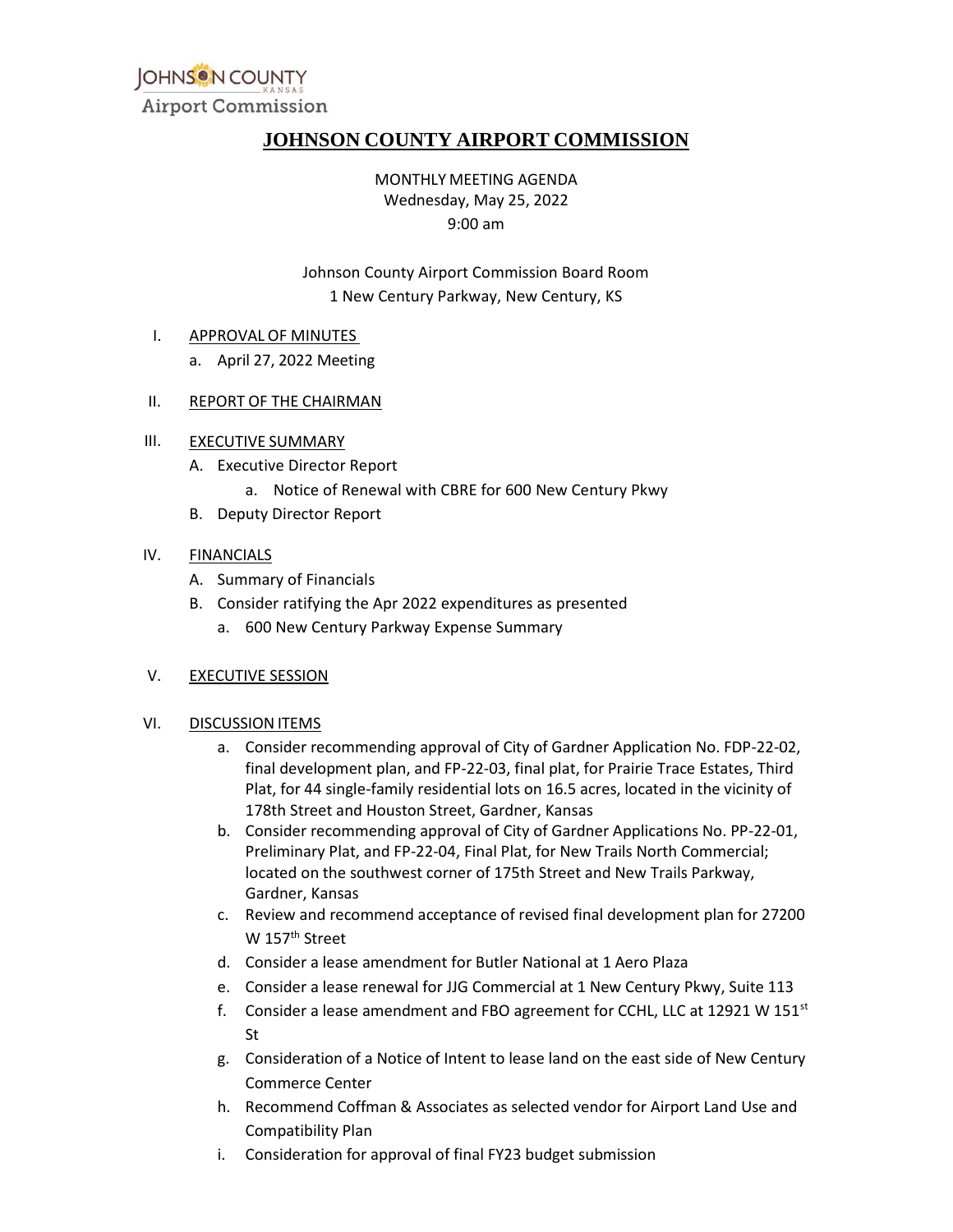

## **JOHNSON COUNTY AIRPORT COMMISSION**

MONTHLY MEETING AGENDA Wednesday, May 25, 2022 9:00 am

Johnson County Airport Commission Board Room 1 New Century Parkway, New Century, KS

#### I. APPROVAL OF MINUTES

- a. April 27, 2022 Meeting
- II. REPORT OF THE CHAIRMAN

#### III. EXECUTIVE SUMMARY

- A. Executive Director Report
	- a. Notice of Renewal with CBRE for 600 New Century Pkwy
- B. Deputy Director Report

#### IV. FINANCIALS

- A. Summary of Financials
- B. Consider ratifying the Apr 2022 expenditures as presented
	- a. 600 New Century Parkway Expense Summary

#### V. EXECUTIVE SESSION

#### VI. DISCUSSION ITEMS

- a. Consider recommending approval of City of Gardner Application No. FDP-22-02, final development plan, and FP-22-03, final plat, for Prairie Trace Estates, Third Plat, for 44 single-family residential lots on 16.5 acres, located in the vicinity of 178th Street and Houston Street, Gardner, Kansas
- b. Consider recommending approval of City of Gardner Applications No. PP-22-01, Preliminary Plat, and FP-22-04, Final Plat, for New Trails North Commercial; located on the southwest corner of 175th Street and New Trails Parkway, Gardner, Kansas
- c. Review and recommend acceptance of revised final development plan for 27200 W 157<sup>th</sup> Street
- d. Consider a lease amendment for Butler National at 1 Aero Plaza
- e. Consider a lease renewal for JJG Commercial at 1 New Century Pkwy, Suite 113
- f. Consider a lease amendment and FBO agreement for CCHL, LLC at 12921 W 151 $st$ St
- g. Consideration of a Notice of Intent to lease land on the east side of New Century Commerce Center
- h. Recommend Coffman & Associates as selected vendor for Airport Land Use and Compatibility Plan
- i. Consideration for approval of final FY23 budget submission